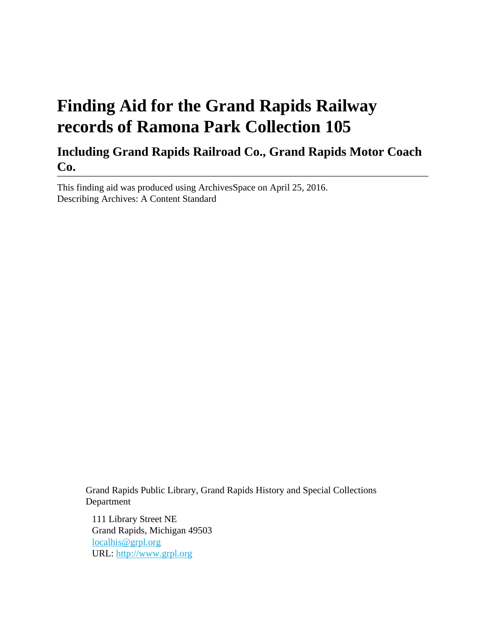# **Finding Aid for the Grand Rapids Railway records of Ramona Park Collection 105**

### **Including Grand Rapids Railroad Co., Grand Rapids Motor Coach Co.**

This finding aid was produced using ArchivesSpace on April 25, 2016. Describing Archives: A Content Standard

> Grand Rapids Public Library, Grand Rapids History and Special Collections Department

111 Library Street NE Grand Rapids, Michigan 49503 [localhis@grpl.org](mailto:localhis@grpl.org) URL:<http://www.grpl.org>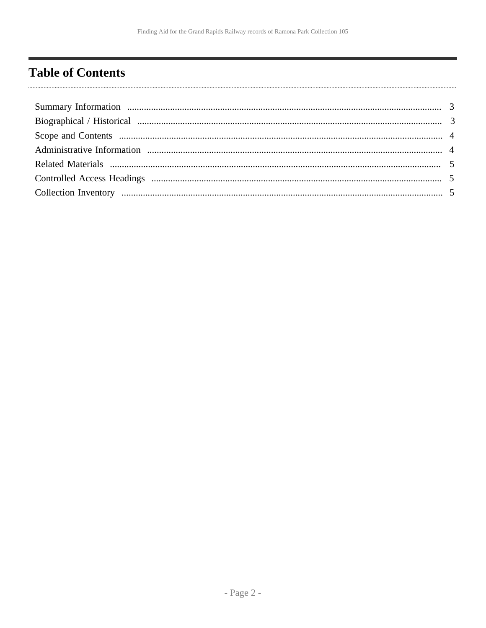# <span id="page-1-0"></span>**Table of Contents**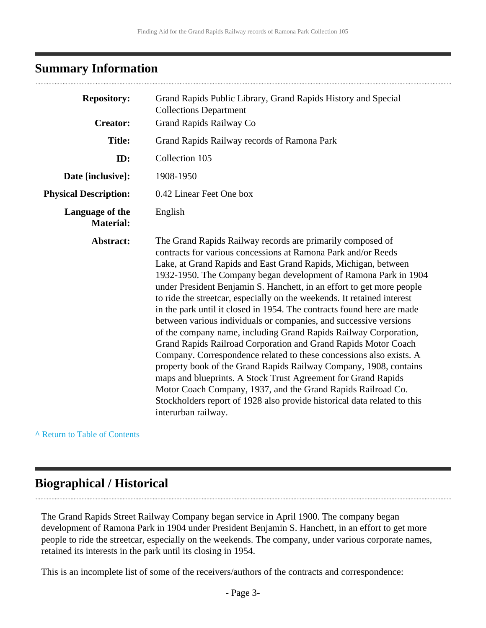### <span id="page-2-0"></span>**Summary Information**

| <b>Repository:</b>                  | Grand Rapids Public Library, Grand Rapids History and Special<br><b>Collections Department</b>                                                                                                                                                                                                                                                                                                                                                                                                                                                                                                                                                                                                                                                                                                                                                                                                                                                                                                                                                                                            |
|-------------------------------------|-------------------------------------------------------------------------------------------------------------------------------------------------------------------------------------------------------------------------------------------------------------------------------------------------------------------------------------------------------------------------------------------------------------------------------------------------------------------------------------------------------------------------------------------------------------------------------------------------------------------------------------------------------------------------------------------------------------------------------------------------------------------------------------------------------------------------------------------------------------------------------------------------------------------------------------------------------------------------------------------------------------------------------------------------------------------------------------------|
| <b>Creator:</b>                     | Grand Rapids Railway Co                                                                                                                                                                                                                                                                                                                                                                                                                                                                                                                                                                                                                                                                                                                                                                                                                                                                                                                                                                                                                                                                   |
| <b>Title:</b>                       | Grand Rapids Railway records of Ramona Park                                                                                                                                                                                                                                                                                                                                                                                                                                                                                                                                                                                                                                                                                                                                                                                                                                                                                                                                                                                                                                               |
| ID:                                 | Collection 105                                                                                                                                                                                                                                                                                                                                                                                                                                                                                                                                                                                                                                                                                                                                                                                                                                                                                                                                                                                                                                                                            |
| Date [inclusive]:                   | 1908-1950                                                                                                                                                                                                                                                                                                                                                                                                                                                                                                                                                                                                                                                                                                                                                                                                                                                                                                                                                                                                                                                                                 |
| <b>Physical Description:</b>        | 0.42 Linear Feet One box                                                                                                                                                                                                                                                                                                                                                                                                                                                                                                                                                                                                                                                                                                                                                                                                                                                                                                                                                                                                                                                                  |
| Language of the<br><b>Material:</b> | English                                                                                                                                                                                                                                                                                                                                                                                                                                                                                                                                                                                                                                                                                                                                                                                                                                                                                                                                                                                                                                                                                   |
| Abstract:                           | The Grand Rapids Railway records are primarily composed of<br>contracts for various concessions at Ramona Park and/or Reeds<br>Lake, at Grand Rapids and East Grand Rapids, Michigan, between<br>1932-1950. The Company began development of Ramona Park in 1904<br>under President Benjamin S. Hanchett, in an effort to get more people<br>to ride the streetcar, especially on the weekends. It retained interest<br>in the park until it closed in 1954. The contracts found here are made<br>between various individuals or companies, and successive versions<br>of the company name, including Grand Rapids Railway Corporation,<br>Grand Rapids Railroad Corporation and Grand Rapids Motor Coach<br>Company. Correspondence related to these concessions also exists. A<br>property book of the Grand Rapids Railway Company, 1908, contains<br>maps and blueprints. A Stock Trust Agreement for Grand Rapids<br>Motor Coach Company, 1937, and the Grand Rapids Railroad Co.<br>Stockholders report of 1928 also provide historical data related to this<br>interurban railway. |

**^** [Return to Table of Contents](#page-1-0)

#### <span id="page-2-1"></span>**Biographical / Historical**

The Grand Rapids Street Railway Company began service in April 1900. The company began development of Ramona Park in 1904 under President Benjamin S. Hanchett, in an effort to get more people to ride the streetcar, especially on the weekends. The company, under various corporate names, retained its interests in the park until its closing in 1954.

This is an incomplete list of some of the receivers/authors of the contracts and correspondence: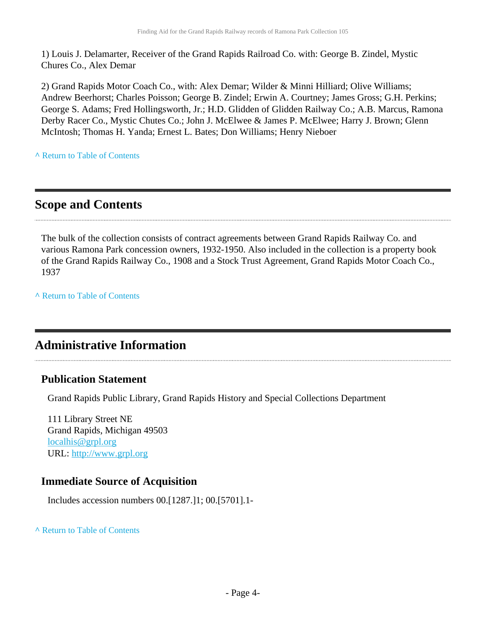1) Louis J. Delamarter, Receiver of the Grand Rapids Railroad Co. with: George B. Zindel, Mystic Chures Co., Alex Demar

2) Grand Rapids Motor Coach Co., with: Alex Demar; Wilder & Minni Hilliard; Olive Williams; Andrew Beerhorst; Charles Poisson; George B. Zindel; Erwin A. Courtney; James Gross; G.H. Perkins; George S. Adams; Fred Hollingsworth, Jr.; H.D. Glidden of Glidden Railway Co.; A.B. Marcus, Ramona Derby Racer Co., Mystic Chutes Co.; John J. McElwee & James P. McElwee; Harry J. Brown; Glenn McIntosh; Thomas H. Yanda; Ernest L. Bates; Don Williams; Henry Nieboer

**^** [Return to Table of Contents](#page-1-0)

### <span id="page-3-0"></span>**Scope and Contents**

The bulk of the collection consists of contract agreements between Grand Rapids Railway Co. and various Ramona Park concession owners, 1932-1950. Also included in the collection is a property book of the Grand Rapids Railway Co., 1908 and a Stock Trust Agreement, Grand Rapids Motor Coach Co., 1937

**^** [Return to Table of Contents](#page-1-0)

### <span id="page-3-1"></span>**Administrative Information**

#### **Publication Statement**

Grand Rapids Public Library, Grand Rapids History and Special Collections Department

111 Library Street NE Grand Rapids, Michigan 49503 [localhis@grpl.org](mailto:localhis@grpl.org) URL:<http://www.grpl.org>

#### **Immediate Source of Acquisition**

Includes accession numbers 00.[1287.]1; 00.[5701].1-

#### **^** [Return to Table of Contents](#page-1-0)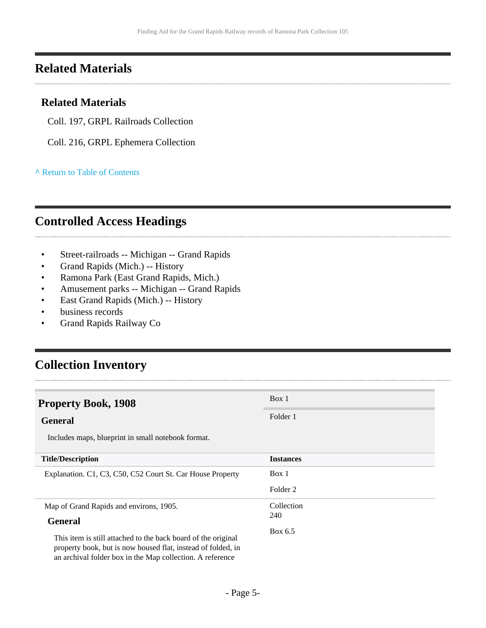#### <span id="page-4-0"></span>**Related Materials**

#### **Related Materials**

- Coll. 197, GRPL Railroads Collection
- Coll. 216, GRPL Ephemera Collection

#### **^** [Return to Table of Contents](#page-1-0)

### <span id="page-4-1"></span>**Controlled Access Headings**

- Street-railroads -- Michigan -- Grand Rapids
- Grand Rapids (Mich.) -- History
- Ramona Park (East Grand Rapids, Mich.)
- Amusement parks -- Michigan -- Grand Rapids
- East Grand Rapids (Mich.) -- History
- business records
- Grand Rapids Railway Co

### <span id="page-4-2"></span>**Collection Inventory**

| <b>Property Book, 1908</b>                                                                                                                                                                 | Box 1            |
|--------------------------------------------------------------------------------------------------------------------------------------------------------------------------------------------|------------------|
| <b>General</b>                                                                                                                                                                             | Folder 1         |
| Includes maps, blueprint in small notebook format.                                                                                                                                         |                  |
| <b>Title/Description</b>                                                                                                                                                                   | <b>Instances</b> |
| Explanation. C1, C3, C50, C52 Court St. Car House Property                                                                                                                                 | Box 1            |
|                                                                                                                                                                                            | Folder 2         |
| Map of Grand Rapids and environs, 1905.                                                                                                                                                    | Collection       |
| <b>General</b>                                                                                                                                                                             | 240              |
| This item is still attached to the back board of the original<br>property book, but is now housed flat, instead of folded, in<br>an archival folder box in the Map collection. A reference | Box 6.5          |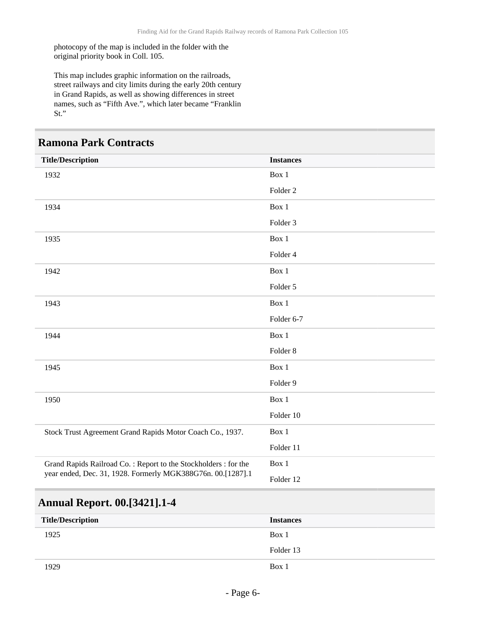photocopy of the map is included in the folder with the original priority book in Coll. 105.

This map includes graphic information on the railroads, street railways and city limits during the early 20th century in Grand Rapids, as well as showing differences in street names, such as "Fifth Ave.", which later became "Franklin St."

#### **Ramona Park Contracts**

| <b>Title/Description</b>                                                                                                      | <b>Instances</b>    |
|-------------------------------------------------------------------------------------------------------------------------------|---------------------|
| 1932                                                                                                                          | Box 1               |
|                                                                                                                               | Folder <sub>2</sub> |
| 1934                                                                                                                          | Box 1               |
|                                                                                                                               | Folder 3            |
| 1935                                                                                                                          | Box 1               |
|                                                                                                                               | Folder 4            |
| 1942                                                                                                                          | Box 1               |
|                                                                                                                               | Folder 5            |
| 1943                                                                                                                          | Box 1               |
|                                                                                                                               | Folder 6-7          |
| 1944                                                                                                                          | Box 1               |
|                                                                                                                               | Folder <sub>8</sub> |
| 1945                                                                                                                          | Box 1               |
|                                                                                                                               | Folder 9            |
| 1950                                                                                                                          | Box 1               |
|                                                                                                                               | Folder 10           |
| Stock Trust Agreement Grand Rapids Motor Coach Co., 1937.                                                                     | Box 1               |
|                                                                                                                               | Folder 11           |
| Grand Rapids Railroad Co.: Report to the Stockholders: for the<br>year ended, Dec. 31, 1928. Formerly MGK388G76n. 00.[1287].1 | Box 1               |
|                                                                                                                               | Folder 12           |

#### **Annual Report. 00.[3421].1-4**

| <b>Title/Description</b> | <b>Instances</b> |
|--------------------------|------------------|
| 1925                     | Box 1            |
|                          | Folder 13        |
| 1929                     | Box 1            |